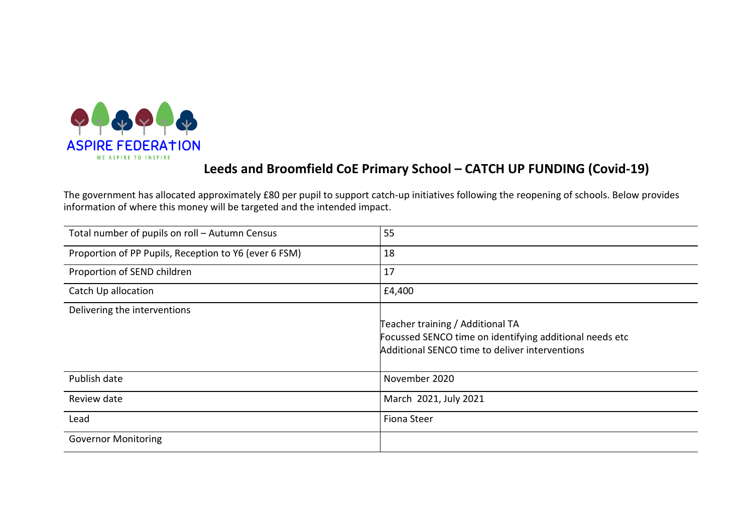

# Leeds and Broomfield CoE Primary School – CATCH UP FUNDING (Covid-19)

The government has allocated approximately £80 per pupil to support catch-up initiatives following the reopening of schools. Below provides information of where this money will be targeted and the intended impact.

| Total number of pupils on roll - Autumn Census        | 55                                                                                                                                            |
|-------------------------------------------------------|-----------------------------------------------------------------------------------------------------------------------------------------------|
| Proportion of PP Pupils, Reception to Y6 (ever 6 FSM) | 18                                                                                                                                            |
| Proportion of SEND children                           | 17                                                                                                                                            |
| Catch Up allocation                                   | £4,400                                                                                                                                        |
| Delivering the interventions                          | Teacher training / Additional TA<br>Focussed SENCO time on identifying additional needs etc<br>Additional SENCO time to deliver interventions |
| Publish date                                          | November 2020                                                                                                                                 |
| Review date                                           | March 2021, July 2021                                                                                                                         |
| Lead                                                  | <b>Fiona Steer</b>                                                                                                                            |
| <b>Governor Monitoring</b>                            |                                                                                                                                               |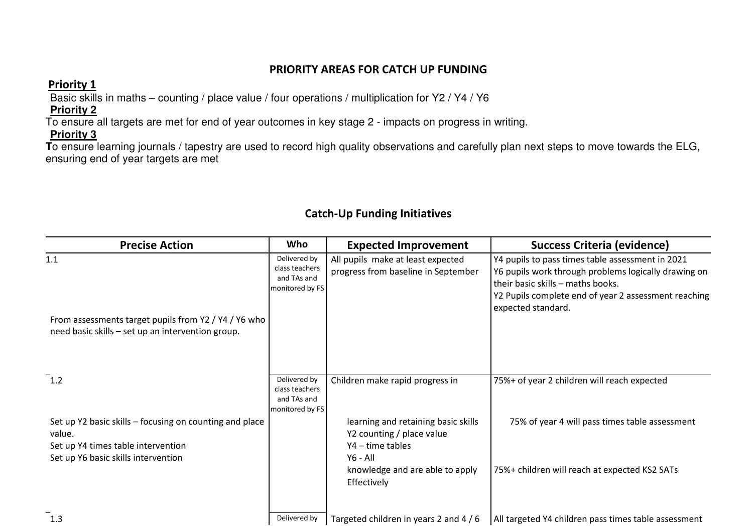#### PRIORITY AREAS FOR CATCH UP FUNDING

### Priority 1

Basic skills in maths – counting / place value / four operations / multiplication for Y2 / Y4 / Y6

## **Priority 2**

To ensure all targets are met for end of year outcomes in key stage 2 - impacts on progress in writing.

### **Priority 3**

 **T**o ensure learning journals / tapestry are used to record high quality observations and carefully plan next steps to move towards the ELG, ensuring end of year targets are met

## Catch-Up Funding Initiatives

| <b>Precise Action</b>                                                                                                                          | Who                                                              | <b>Expected Improvement</b>                                                                                                           | Success Criteria (evidence)                                                                                                                                                                                                 |
|------------------------------------------------------------------------------------------------------------------------------------------------|------------------------------------------------------------------|---------------------------------------------------------------------------------------------------------------------------------------|-----------------------------------------------------------------------------------------------------------------------------------------------------------------------------------------------------------------------------|
| 1.1<br>From assessments target pupils from Y2 / Y4 / Y6 who<br>need basic skills - set up an intervention group.                               | Delivered by<br>class teachers<br>and TAs and<br>monitored by FS | All pupils make at least expected<br>progress from baseline in September                                                              | Y4 pupils to pass times table assessment in 2021<br>Y6 pupils work through problems logically drawing on<br>their basic skills - maths books.<br>Y2 Pupils complete end of year 2 assessment reaching<br>expected standard. |
| $^{-1.2}$                                                                                                                                      | Delivered by<br>class teachers<br>and TAs and<br>monitored by FS | Children make rapid progress in                                                                                                       | 75%+ of year 2 children will reach expected                                                                                                                                                                                 |
| Set up Y2 basic skills - focusing on counting and place<br>value.<br>Set up Y4 times table intervention<br>Set up Y6 basic skills intervention |                                                                  | learning and retaining basic skills<br>Y2 counting / place value<br>Y4 - time tables<br>$Y6 - All$<br>knowledge and are able to apply | 75% of year 4 will pass times table assessment<br>75%+ children will reach at expected KS2 SATs                                                                                                                             |
| $-1.3$                                                                                                                                         | Delivered by                                                     | Effectively<br>Targeted children in years 2 and 4 / 6                                                                                 | All targeted Y4 children pass times table assessment                                                                                                                                                                        |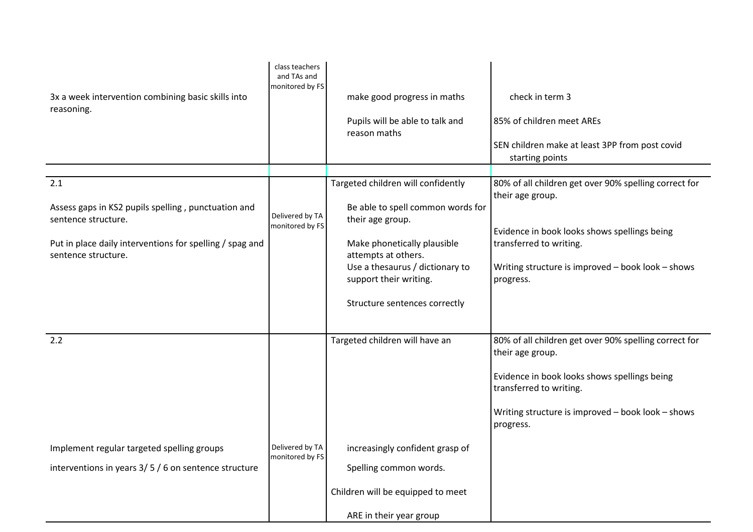| 3x a week intervention combining basic skills into                              | class teachers<br>and TAs and<br>monitored by FS | make good progress in maths                                                           | check in term 3                                                              |
|---------------------------------------------------------------------------------|--------------------------------------------------|---------------------------------------------------------------------------------------|------------------------------------------------------------------------------|
| reasoning.                                                                      |                                                  | Pupils will be able to talk and<br>reason maths                                       | 85% of children meet AREs                                                    |
|                                                                                 |                                                  |                                                                                       | SEN children make at least 3PP from post covid<br>starting points            |
| 2.1                                                                             |                                                  | Targeted children will confidently                                                    | 80% of all children get over 90% spelling correct for<br>their age group.    |
| Assess gaps in KS2 pupils spelling, punctuation and<br>sentence structure.      | Delivered by TA<br>monitored by FS               | Be able to spell common words for<br>their age group.                                 | Evidence in book looks shows spellings being                                 |
| Put in place daily interventions for spelling / spag and<br>sentence structure. |                                                  | Make phonetically plausible<br>attempts at others.<br>Use a thesaurus / dictionary to | transferred to writing.<br>Writing structure is improved - book look - shows |
|                                                                                 |                                                  | support their writing.                                                                | progress.                                                                    |
|                                                                                 |                                                  | Structure sentences correctly                                                         |                                                                              |
| 2.2                                                                             |                                                  | Targeted children will have an                                                        | 80% of all children get over 90% spelling correct for<br>their age group.    |
|                                                                                 |                                                  |                                                                                       | Evidence in book looks shows spellings being<br>transferred to writing.      |
|                                                                                 |                                                  |                                                                                       | Writing structure is improved - book look - shows<br>progress.               |
| Implement regular targeted spelling groups                                      | Delivered by TA<br>monitored by FS               | increasingly confident grasp of                                                       |                                                                              |
| interventions in years $3/5/6$ on sentence structure                            |                                                  | Spelling common words.                                                                |                                                                              |
|                                                                                 |                                                  | Children will be equipped to meet                                                     |                                                                              |
|                                                                                 |                                                  | ARE in their year group                                                               |                                                                              |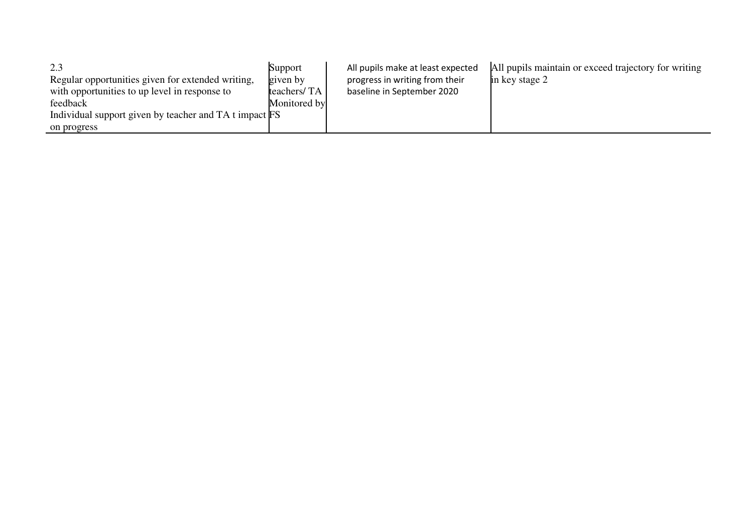| 2.3                                                    | Support      | All pupils make at least expected | All pupils maintain or exceed trajectory for writing |
|--------------------------------------------------------|--------------|-----------------------------------|------------------------------------------------------|
| Regular opportunities given for extended writing,      | given by     | progress in writing from their    | in key stage 2                                       |
| with opportunities to up level in response to          | teachers/TA  | baseline in September 2020        |                                                      |
| feedback                                               | Monitored by |                                   |                                                      |
| Individual support given by teacher and TA t impact FS |              |                                   |                                                      |
| on progress                                            |              |                                   |                                                      |